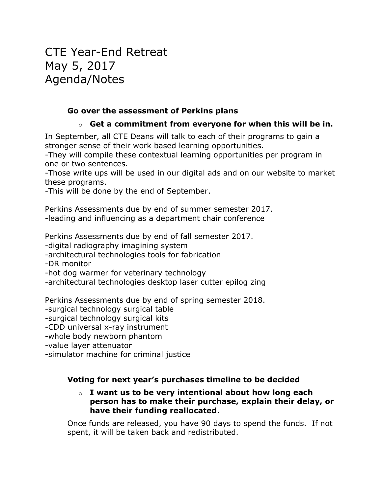# CTE Year-End Retreat May 5, 2017 Agenda/Notes

### **Go over the assessment of Perkins plans**

### o **Get a commitment from everyone for when this will be in.**

In September, all CTE Deans will talk to each of their programs to gain a stronger sense of their work based learning opportunities.

-They will compile these contextual learning opportunities per program in one or two sentences.

-Those write ups will be used in our digital ads and on our website to market these programs.

-This will be done by the end of September.

Perkins Assessments due by end of summer semester 2017. -leading and influencing as a department chair conference

Perkins Assessments due by end of fall semester 2017.

-digital radiography imagining system

-architectural technologies tools for fabrication

-DR monitor

-hot dog warmer for veterinary technology

-architectural technologies desktop laser cutter epilog zing

Perkins Assessments due by end of spring semester 2018.

-surgical technology surgical table

-surgical technology surgical kits

-CDD universal x-ray instrument

-whole body newborn phantom

-value layer attenuator

-simulator machine for criminal justice

### **Voting for next year's purchases timeline to be decided**

#### o **I want us to be very intentional about how long each person has to make their purchase, explain their delay, or have their funding reallocated**.

Once funds are released, you have 90 days to spend the funds. If not spent, it will be taken back and redistributed.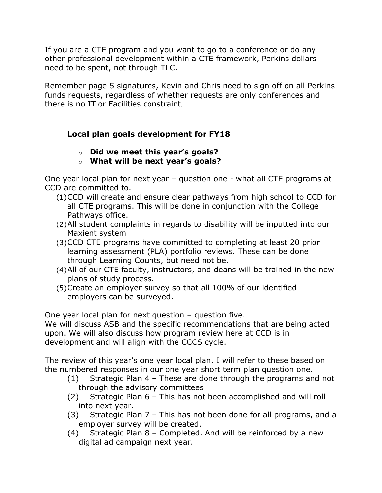If you are a CTE program and you want to go to a conference or do any other professional development within a CTE framework, Perkins dollars need to be spent, not through TLC.

Remember page 5 signatures, Kevin and Chris need to sign off on all Perkins funds requests, regardless of whether requests are only conferences and there is no IT or Facilities constraint.

## **Local plan goals development for FY18**

- o **Did we meet this year's goals?**
- o **What will be next year's goals?**

One year local plan for next year – question one - what all CTE programs at CCD are committed to.

- (1)CCD will create and ensure clear pathways from high school to CCD for all CTE programs. This will be done in conjunction with the College Pathways office.
- (2)All student complaints in regards to disability will be inputted into our Maxient system
- (3)CCD CTE programs have committed to completing at least 20 prior learning assessment (PLA) portfolio reviews. These can be done through Learning Counts, but need not be.
- (4)All of our CTE faculty, instructors, and deans will be trained in the new plans of study process.
- (5)Create an employer survey so that all 100% of our identified employers can be surveyed.

One year local plan for next question – question five.

We will discuss ASB and the specific recommendations that are being acted upon. We will also discuss how program review here at CCD is in development and will align with the CCCS cycle.

The review of this year's one year local plan. I will refer to these based on the numbered responses in our one year short term plan question one.

- (1) Strategic Plan 4 These are done through the programs and not through the advisory committees.
- (2) Strategic Plan 6 This has not been accomplished and will roll into next year.
- (3) Strategic Plan 7 This has not been done for all programs, and a employer survey will be created.
- (4) Strategic Plan 8 Completed. And will be reinforced by a new digital ad campaign next year.